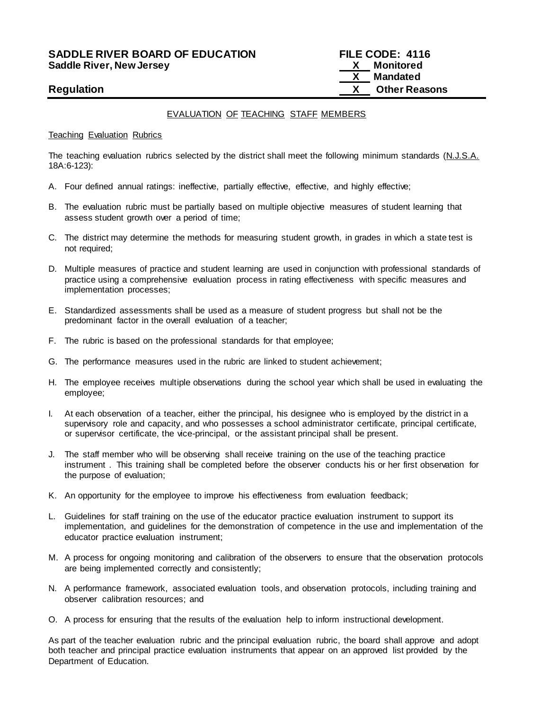# **SADDLE RIVER BOARD OF EDUCATION FILE CODE: 4116 Saddle River, New Jersey**

 **X Mandated Regulation X Other Reasons**

# EVALUATION OF TEACHING STAFF MEMBERS

#### Teaching Evaluation Rubrics

The teaching evaluation rubrics selected by the district shall meet the following minimum standards (N.J.S.A. 18A:6-123):

- A. Four defined annual ratings: ineffective, partially effective, effective, and highly effective;
- B. The evaluation rubric must be partially based on multiple objective measures of student learning that assess student growth over a period of time;
- C. The district may determine the methods for measuring student growth, in grades in which a state test is not required;
- D. Multiple measures of practice and student learning are used in conjunction with professional standards of practice using a comprehensive evaluation process in rating effectiveness with specific measures and implementation processes;
- E. Standardized assessments shall be used as a measure of student progress but shall not be the predominant factor in the overall evaluation of a teacher;
- F. The rubric is based on the professional standards for that employee;
- G. The performance measures used in the rubric are linked to student achievement;
- H. The employee receives multiple observations during the school year which shall be used in evaluating the employee;
- I. At each observation of a teacher, either the principal, his designee who is employed by the district in a supervisory role and capacity, and who possesses a school administrator certificate, principal certificate, or supervisor certificate, the vice-principal, or the assistant principal shall be present.
- J. The staff member who will be observing shall receive training on the use of the teaching practice instrument . This training shall be completed before the observer conducts his or her first observation for the purpose of evaluation;
- K. An opportunity for the employee to improve his effectiveness from evaluation feedback;
- L. Guidelines for staff training on the use of the educator practice evaluation instrument to support its implementation, and guidelines for the demonstration of competence in the use and implementation of the educator practice evaluation instrument;
- M. A process for ongoing monitoring and calibration of the observers to ensure that the observation protocols are being implemented correctly and consistently;
- N. A performance framework, associated evaluation tools, and observation protocols, including training and observer calibration resources; and
- O. A process for ensuring that the results of the evaluation help to inform instructional development.

As part of the teacher evaluation rubric and the principal evaluation rubric, the board shall approve and adopt both teacher and principal practice evaluation instruments that appear on an approved list provided by the Department of Education.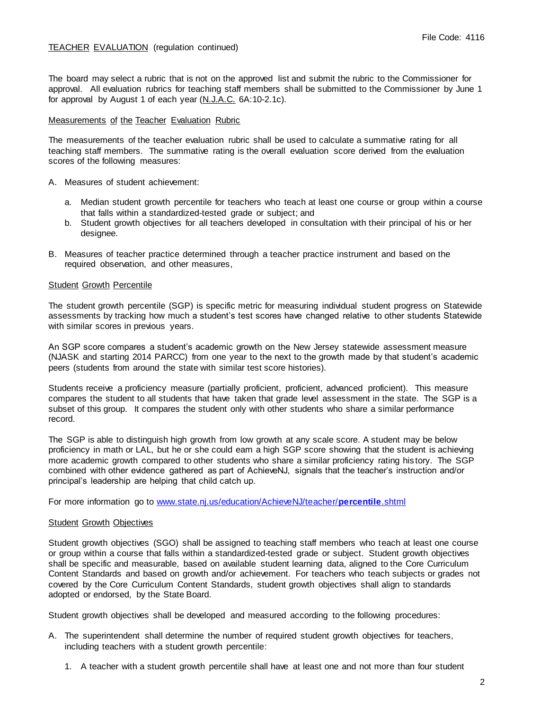# TEACHER EVALUATION (regulation continued)

The board may select a rubric that is not on the approved list and submit the rubric to the Commissioner for approval. All evaluation rubrics for teaching staff members shall be submitted to the Commissioner by June 1 for approval by August 1 of each year (N.J.A.C. 6A:10-2.1c).

### Measurements of the Teacher Evaluation Rubric

The measurements of the teacher evaluation rubric shall be used to calculate a summative rating for all teaching staff members. The summative rating is the overall evaluation score derived from the evaluation scores of the following measures:

- A. Measures of student achievement:
	- a. Median student growth percentile for teachers who teach at least one course or group within a course that falls within a standardized-tested grade or subject; and
	- b. Student growth objectives for all teachers developed in consultation with their principal of his or her designee.
- B. Measures of teacher practice determined through a teacher practice instrument and based on the required observation, and other measures,

#### Student Growth Percentile

The student growth percentile (SGP) is specific metric for measuring individual student progress on Statewide assessments by tracking how much a student's test scores have changed relative to other students Statewide with similar scores in previous years.

An SGP score compares a student's academic growth on the New Jersey statewide assessment measure (NJASK and starting 2014 PARCC) from one year to the next to the growth made by that student's academic peers (students from around the state with similar test score histories).

Students receive a proficiency measure (partially proficient, proficient, advanced proficient). This measure compares the student to all students that have taken that grade level assessment in the state. The SGP is a subset of this group. It compares the student only with other students who share a similar performance record.

The SGP is able to distinguish high growth from low growth at any scale score. A student may be below proficiency in math or LAL, but he or she could earn a high SGP score showing that the student is achieving more academic growth compared to other students who share a similar proficiency rating his tory. The SGP combined with other evidence gathered as part of AchieveNJ, signals that the teacher's instruction and/or principal's leadership are helping that child catch up.

For more information go to [www.state.nj.us/education/AchieveNJ/teacher/](http://www.state.nj.us/education/AchieveNJ/teacher/percentile.shtml)**percentile**.shtml

### **Student Growth Objectives**

Student growth objectives (SGO) shall be assigned to teaching staff members who teach at least one course or group within a course that falls within a standardized-tested grade or subject. Student growth objectives shall be specific and measurable, based on available student learning data, aligned to the Core Curriculum Content Standards and based on growth and/or achievement. For teachers who teach subjects or grades not covered by the Core Curriculum Content Standards, student growth objectives shall align to standards adopted or endorsed, by the State Board.

Student growth objectives shall be developed and measured according to the following procedures:

- A. The superintendent shall determine the number of required student growth objectives for teachers, including teachers with a student growth percentile:
	- 1. A teacher with a student growth percentile shall have at least one and not more than four student